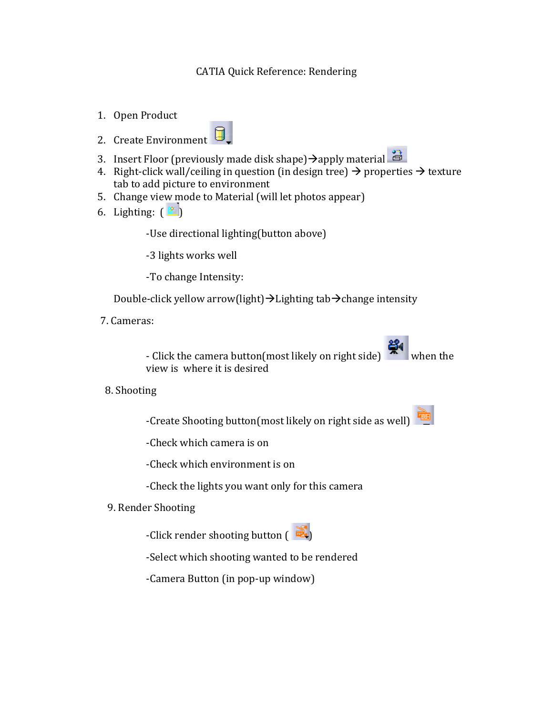## CATIA Quick Reference: Rendering

1. Open Product





- 3. Insert Floor (previously made disk shape)  $\rightarrow$  apply material
- 4. Right-click wall/ceiling in question (in design tree)  $\rightarrow$  properties  $\rightarrow$  texture tab to add picture to environment
- 5. Change view mode to Material (will let photos appear)
- 6. Lighting:  $(\mathbb{R})$

-Use directional lighting(button above)

-3 lights works well

-To change Intensity:

Double-click yellow arrow(light) $\rightarrow$ Lighting tab $\rightarrow$ change intensity

7. Cameras:

- Click the camera button(most likely on right side)  $\mathbb{R}^N$  when the view is where it is desired

8. Shooting

-Create Shooting button(most likely on right side as well)

-Check which camera is on

-Check which environment is on

-Check the lights you want only for this camera

9. Render Shooting

-Click render shooting button  $($ 

-Select which shooting wanted to be rendered

-Camera Button (in pop-up window)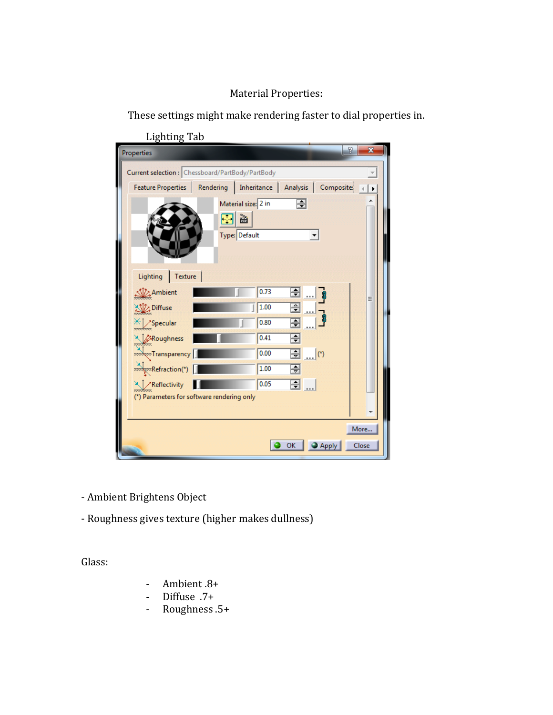## Material Properties:

These settings might make rendering faster to dial properties in.

| Properties                                                                                                                                 |    |                                                                                      |                                                |                  | x             |  |
|--------------------------------------------------------------------------------------------------------------------------------------------|----|--------------------------------------------------------------------------------------|------------------------------------------------|------------------|---------------|--|
| Current selection : Chessboard/PartBody/PartBody                                                                                           |    |                                                                                      |                                                |                  |               |  |
| <b>Feature Properties</b>                                                                                                                  |    | Rendering   Inheritance   Analysis   Composites                                      |                                                |                  |               |  |
| Lighting   Texture  <br>Ambient<br>Diffuse<br>$*$ Specular<br>Roughness<br>and and Transparency<br>$\frac{1}{\text{number}}$ Refraction(*) | 田圖 | Material size: 2 in<br>Type: Default<br>0.73<br>1.00<br>0.80<br>0.41<br>0.00<br>1.00 | ⊟<br>$\div$<br>즦<br>⋥<br>÷<br><u>(*) </u><br>흵 |                  | Ξ             |  |
| X / Reflectivity<br>(*) Parameters for software rendering only                                                                             |    | 0.05                                                                                 | <u> ヨ</u>                                      |                  |               |  |
|                                                                                                                                            |    |                                                                                      |                                                |                  |               |  |
|                                                                                                                                            |    |                                                                                      | OK                                             | $\bigcirc$ Apply | More<br>Close |  |

Lighting Tab

- Ambient Brightens Object

- Roughness gives texture (higher makes dullness)

Glass:

- Ambient 8+
- Diffuse .7+
- Roughness .5+